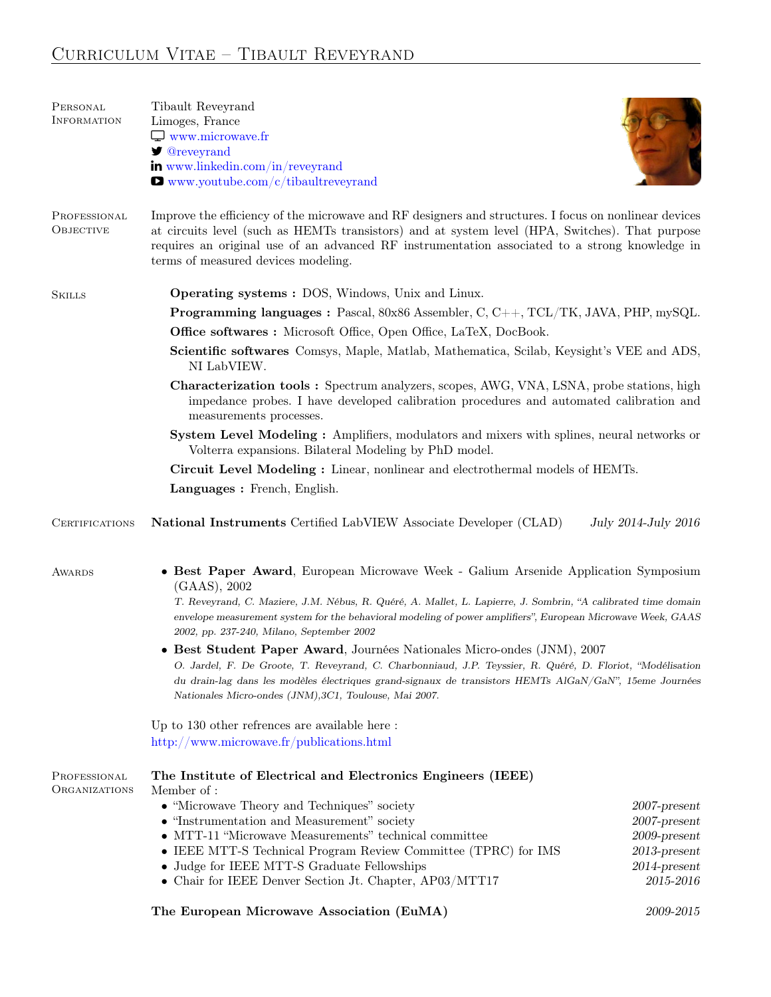# Curriculum Vitae – Tibault Reveyrand

| PERSONAL<br>INFORMATION       | Tibault Reveyrand<br>Limoges, France<br>$\Box$ www.microwave.fr<br><b><i>S</i></b> @reveyrand<br>in www.linkedin.com/in/reveyrand<br>$\blacksquare$ www.youtube.com/c/tibaultreveyrand                                                                                                                                                                                                                                                                         |                                                                                                                |
|-------------------------------|----------------------------------------------------------------------------------------------------------------------------------------------------------------------------------------------------------------------------------------------------------------------------------------------------------------------------------------------------------------------------------------------------------------------------------------------------------------|----------------------------------------------------------------------------------------------------------------|
| PROFESSIONAL<br>OBJECTIVE     | Improve the efficiency of the microwave and RF designers and structures. I focus on nonlinear devices<br>at circuits level (such as HEMTs transistors) and at system level (HPA, Switches). That purpose<br>requires an original use of an advanced RF instrumentation associated to a strong knowledge in<br>terms of measured devices modeling.                                                                                                              |                                                                                                                |
| <b>SKILLS</b>                 | <b>Operating systems : DOS, Windows, Unix and Linux.</b>                                                                                                                                                                                                                                                                                                                                                                                                       |                                                                                                                |
|                               | <b>Programming languages :</b> Pascal, 80x86 Assembler, C, C++, TCL/TK, JAVA, PHP, mySQL.                                                                                                                                                                                                                                                                                                                                                                      |                                                                                                                |
|                               | Office softwares: Microsoft Office, Open Office, LaTeX, DocBook.                                                                                                                                                                                                                                                                                                                                                                                               |                                                                                                                |
|                               | Scientific softwares Comsys, Maple, Matlab, Mathematica, Scilab, Keysight's VEE and ADS,<br>NI LabVIEW.                                                                                                                                                                                                                                                                                                                                                        |                                                                                                                |
|                               | <b>Characterization tools:</b> Spectrum analyzers, scopes, AWG, VNA, LSNA, probe stations, high<br>impedance probes. I have developed calibration procedures and automated calibration and<br>measurements processes.                                                                                                                                                                                                                                          |                                                                                                                |
|                               | System Level Modeling: Amplifiers, modulators and mixers with splines, neural networks or<br>Volterra expansions. Bilateral Modeling by PhD model.                                                                                                                                                                                                                                                                                                             |                                                                                                                |
|                               | Circuit Level Modeling: Linear, nonlinear and electrothermal models of HEMTs.                                                                                                                                                                                                                                                                                                                                                                                  |                                                                                                                |
|                               | Languages : French, English.                                                                                                                                                                                                                                                                                                                                                                                                                                   |                                                                                                                |
| <b>CERTIFICATIONS</b>         | National Instruments Certified LabVIEW Associate Developer (CLAD)                                                                                                                                                                                                                                                                                                                                                                                              | July 2014-July 2016                                                                                            |
| AWARDS                        | • Best Paper Award, European Microwave Week - Galium Arsenide Application Symposium<br>$(GAAS)$ , 2002<br>T. Reveyrand, C. Maziere, J.M. Nébus, R. Quéré, A. Mallet, L. Lapierre, J. Sombrin, "A calibrated time domain<br>envelope measurement system for the behavioral modeling of power amplifiers", European Microwave Week, GAAS<br>2002, pp. 237-240, Milano, September 2002<br>• Best Student Paper Award, Journées Nationales Micro-ondes (JNM), 2007 |                                                                                                                |
|                               | O. Jardel, F. De Groote, T. Reveyrand, C. Charbonniaud, J.P. Teyssier, R. Quéré, D. Floriot, "Modélisation<br>du drain-lag dans les modèles électriques grand-signaux de transistors HEMTs AlGaN/GaN", 15eme Journées<br>Nationales Micro-ondes (JNM), 3C1, Toulouse, Mai 2007.                                                                                                                                                                                |                                                                                                                |
|                               | Up to 130 other refrences are available here:<br>http://www.microwave.fr/publications.html                                                                                                                                                                                                                                                                                                                                                                     |                                                                                                                |
| PROFESSIONAL<br>ORGANIZATIONS | The Institute of Electrical and Electronics Engineers (IEEE)<br>Member of:                                                                                                                                                                                                                                                                                                                                                                                     |                                                                                                                |
|                               | • "Microwave Theory and Techniques" society<br>• "Instrumentation and Measurement" society<br>• MTT-11 "Microwave Measurements" technical committee<br>• IEEE MTT-S Technical Program Review Committee (TPRC) for IMS<br>• Judge for IEEE MTT-S Graduate Fellowships<br>• Chair for IEEE Denver Section Jt. Chapter, AP03/MTT17                                                                                                                                | $2007$ -present<br>$2007$ -present<br>$2009$ -present<br>$2013\mbox{-}present$<br>$2014$ -present<br>2015-2016 |
|                               | The European Microwave Association (EuMA)                                                                                                                                                                                                                                                                                                                                                                                                                      | 2009-2015                                                                                                      |